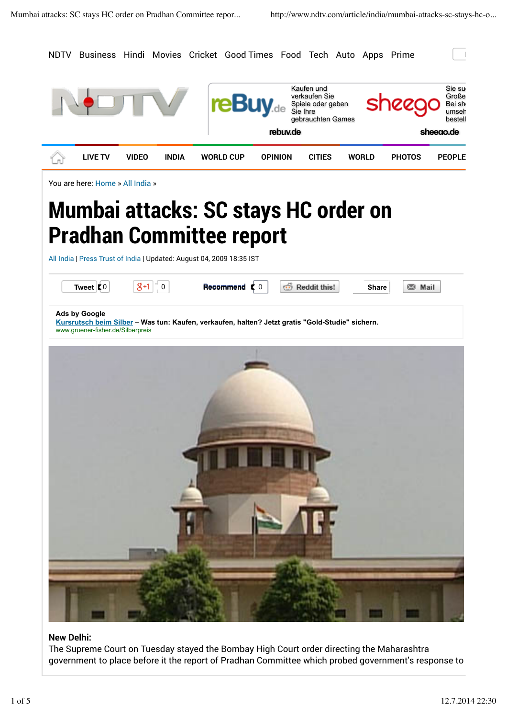

## **New Delhi:**

The Supreme Court on Tuesday stayed the Bombay High Court order directing the Maharashtra government to place before it the report of Pradhan Committee which probed government's response to